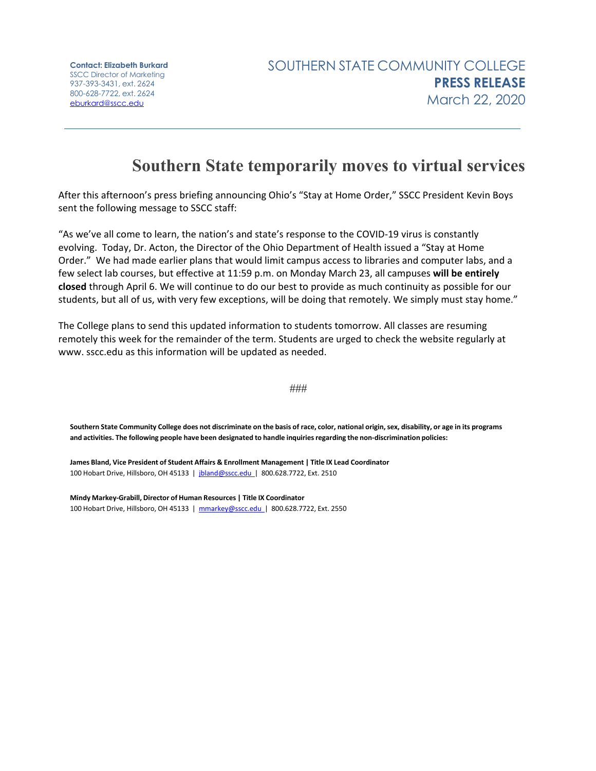**Contact: Elizabeth Burkard** SSCC Director of Marketing 937-393-3431, ext. 2624 800-628-7722, ext. 2624 [eburkard@sscc.edu](mailto:eburkard@sscc.edu)

## **Southern State temporarily moves to virtual services**

After this afternoon's press briefing announcing Ohio's "Stay at Home Order," SSCC President Kevin Boys sent the following message to SSCC staff:

"As we've all come to learn, the nation's and state's response to the COVID-19 virus is constantly evolving. Today, Dr. Acton, the Director of the Ohio Department of Health issued a "Stay at Home Order." We had made earlier plans that would limit campus access to libraries and computer labs, and a few select lab courses, but effective at 11:59 p.m. on Monday March 23, all campuses **will be entirely closed** through April 6. We will continue to do our best to provide as much continuity as possible for our students, but all of us, with very few exceptions, will be doing that remotely. We simply must stay home."

The College plans to send this updated information to students tomorrow. All classes are resuming remotely this week for the remainder of the term. Students are urged to check the website regularly at www. sscc.edu as this information will be updated as needed.

*###*

Southern State Community College does not discriminate on the basis of race, color, national origin, sex, disability, or age in its programs **and activities. The following people have been designated to handle inquiriesregarding the non-discrimination policies:**

**James Bland, Vice President of Student Affairs & Enrollment Management | Title IX Lead Coordinator** 100 Hobart Drive, Hillsboro, OH 45133 | [jbland@sscc.edu](mailto:jbland@sscc.edu) | 800.628.7722, Ext. 2510

**Mindy Markey-Grabill, Director of Human Resources | Title IX Coordinator** 100 Hobart Drive, Hillsboro, OH 45133 | [mmarkey@sscc.edu](mailto:mmarkey@sscc.edu) | 800.628.7722, Ext. 2550